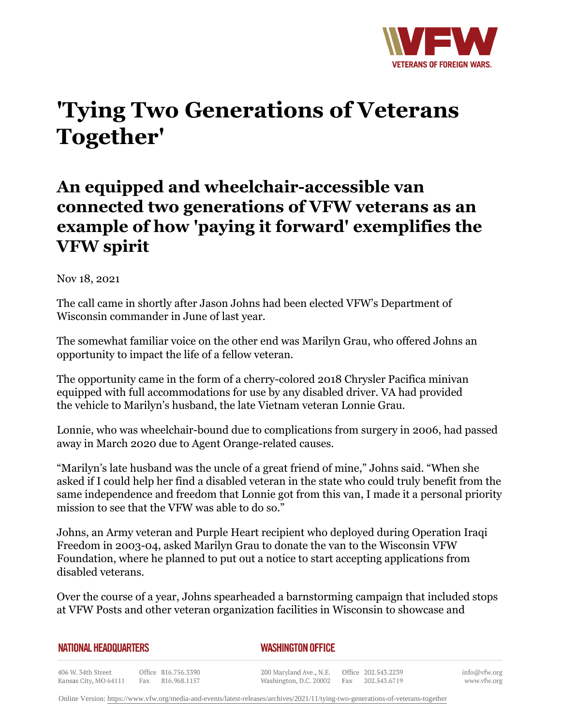

## **'Tying Two Generations of Veterans Together'**

## **An equipped and wheelchair-accessible van connected two generations of VFW veterans as an example of how 'paying it forward' exemplifies the VFW spirit**

Nov 18, 2021

The call came in shortly after Jason Johns had been elected VFW's Department of Wisconsin commander in June of last year.

The somewhat familiar voice on the other end was Marilyn Grau, who offered Johns an opportunity to impact the life of a fellow veteran.

The opportunity came in the form of a cherry-colored 2018 Chrysler Pacifica minivan equipped with full accommodations for use by any disabled driver. VA had provided the vehicle to Marilyn's husband, the late Vietnam veteran Lonnie Grau.

Lonnie, who was wheelchair-bound due to complications from surgery in 2006, had passed away in March 2020 due to Agent Orange-related causes.

"Marilyn's late husband was the uncle of a great friend of mine," Johns said. "When she asked if I could help her find a disabled veteran in the state who could truly benefit from the same independence and freedom that Lonnie got from this van, I made it a personal priority mission to see that the VFW was able to do so."

Johns, an Army veteran and Purple Heart recipient who deployed during Operation Iraqi Freedom in 2003-04, asked Marilyn Grau to donate the van to the Wisconsin VFW Foundation, where he planned to put out a notice to start accepting applications from disabled veterans.

Over the course of a year, Johns spearheaded a barnstorming campaign that included stops at VFW Posts and other veteran organization facilities in Wisconsin to showcase and

| <b>NATIONAL HEADQUARTERS</b> |  |
|------------------------------|--|
|------------------------------|--|

## *WASHINGTON OFFICE*

406 W. 34th Street Office 816.756.3390 Fax 816.968.1157 Kansas City, MO 64111

200 Maryland Ave., N.E. Washington, D.C. 20002

Office 202.543.2239 Fax 202.543.6719

info@vfw.org www.vfw.org

Online Version:<https://www.vfw.org/media-and-events/latest-releases/archives/2021/11/tying-two-generations-of-veterans-together>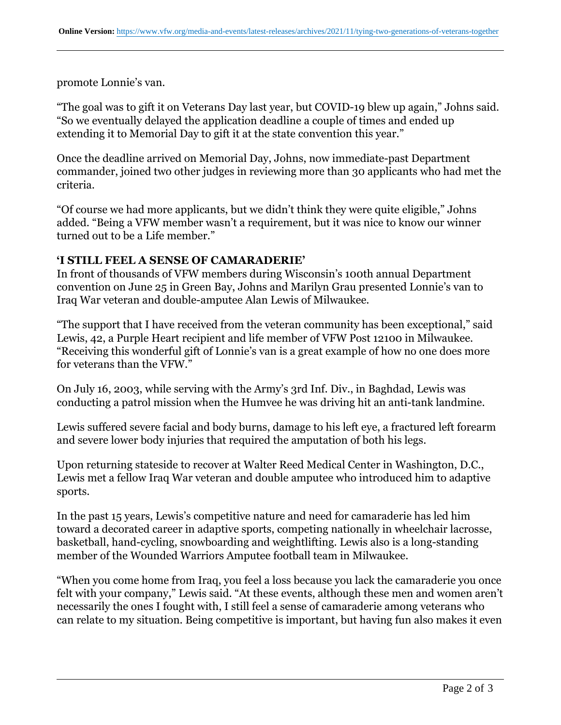promote Lonnie's van.

"The goal was to gift it on Veterans Day last year, but COVID-19 blew up again," Johns said. "So we eventually delayed the application deadline a couple of times and ended up extending it to Memorial Day to gift it at the state convention this year."

Once the deadline arrived on Memorial Day, Johns, now immediate-past Department commander, joined two other judges in reviewing more than 30 applicants who had met the criteria.

"Of course we had more applicants, but we didn't think they were quite eligible," Johns added. "Being a VFW member wasn't a requirement, but it was nice to know our winner turned out to be a Life member."

## **'I STILL FEEL A SENSE OF CAMARADERIE'**

In front of thousands of VFW members during Wisconsin's 100th annual Department convention on June 25 in Green Bay, Johns and Marilyn Grau presented Lonnie's van to Iraq War veteran and double-amputee Alan Lewis of Milwaukee.

"The support that I have received from the veteran community has been exceptional," said Lewis, 42, a Purple Heart recipient and life member of VFW Post 12100 in Milwaukee. "Receiving this wonderful gift of Lonnie's van is a great example of how no one does more for veterans than the VFW."

On July 16, 2003, while serving with the Army's 3rd Inf. Div., in Baghdad, Lewis was conducting a patrol mission when the Humvee he was driving hit an anti-tank landmine.

Lewis suffered severe facial and body burns, damage to his left eye, a fractured left forearm and severe lower body injuries that required the amputation of both his legs.

Upon returning stateside to recover at Walter Reed Medical Center in Washington, D.C., Lewis met a fellow Iraq War veteran and double amputee who introduced him to adaptive sports.

In the past 15 years, Lewis's competitive nature and need for camaraderie has led him toward a decorated career in adaptive sports, competing nationally in wheelchair lacrosse, basketball, hand-cycling, snowboarding and weightlifting. Lewis also is a long-standing member of the Wounded Warriors Amputee football team in Milwaukee.

"When you come home from Iraq, you feel a loss because you lack the camaraderie you once felt with your company," Lewis said. "At these events, although these men and women aren't necessarily the ones I fought with, I still feel a sense of camaraderie among veterans who can relate to my situation. Being competitive is important, but having fun also makes it even